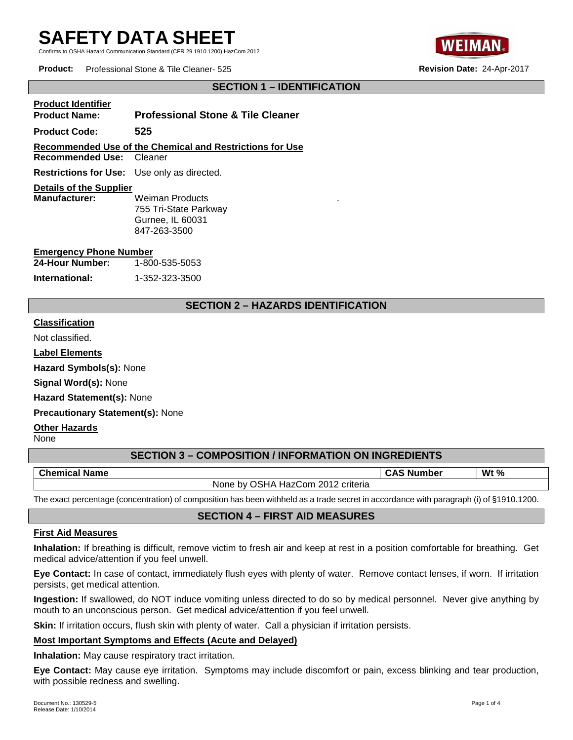Confirms to OSHA Hazard Communication Standard (CFR 29 1910.1200) HazCom 2012



**Product:** Professional Stone & Tile Cleaner- 525 **Revision Date:** 24-Apr-2017

# **SECTION 1 – IDENTIFICATION**

| <b>Product Identifier</b> |                                              |
|---------------------------|----------------------------------------------|
| <b>Product Name:</b>      | <b>Professional Stone &amp; Tile Cleaner</b> |

**Product Code: 525**

# **Recommended Use of the Chemical and Restrictions for Use**

**Recommended Use:** Cleaner

**Restrictions for Use:** Use only as directed.

#### **Details of the Supplier**

**Manufacturer:** Weiman Products 755 Tri-State Parkway Gurnee, IL 60031 847-263-3500

#### **Emergency Phone Number**

| 24-Hour Number: | 1-800-535-5053 |
|-----------------|----------------|
| International:  | 1-352-323-3500 |

# **SECTION 2 – HAZARDS IDENTIFICATION**

.

#### **Classification**

Not classified.

**Label Elements** 

**Hazard Symbols(s):** None

**Signal Word(s):** None

**Hazard Statement(s):** None

**Precautionary Statement(s):** None

**Other Hazards** 

None

# **SECTION 3 – COMPOSITION / INFORMATION ON INGREDIENTS**

| <b>Chemical</b><br>. .<br><b>Name</b>                            | . .<br>Number | Wt $%$ |
|------------------------------------------------------------------|---------------|--------|
| 2012<br>criteria<br>วรหA<br>HazCom<br>None<br>hv.<br><u>_vil</u> |               |        |

The exact percentage (concentration) of composition has been withheld as a trade secret in accordance with paragraph (i) of §1910.1200.

# **SECTION 4 – FIRST AID MEASURES**

#### **First Aid Measures**

**Inhalation:** If breathing is difficult, remove victim to fresh air and keep at rest in a position comfortable for breathing. Get medical advice/attention if you feel unwell.

**Eye Contact:** In case of contact, immediately flush eyes with plenty of water. Remove contact lenses, if worn. If irritation persists, get medical attention.

**Ingestion:** If swallowed, do NOT induce vomiting unless directed to do so by medical personnel. Never give anything by mouth to an unconscious person. Get medical advice/attention if you feel unwell.

**Skin:** If irritation occurs, flush skin with plenty of water. Call a physician if irritation persists.

# **Most Important Symptoms and Effects (Acute and Delayed)**

**Inhalation:** May cause respiratory tract irritation.

**Eye Contact:** May cause eye irritation. Symptoms may include discomfort or pain, excess blinking and tear production, with possible redness and swelling.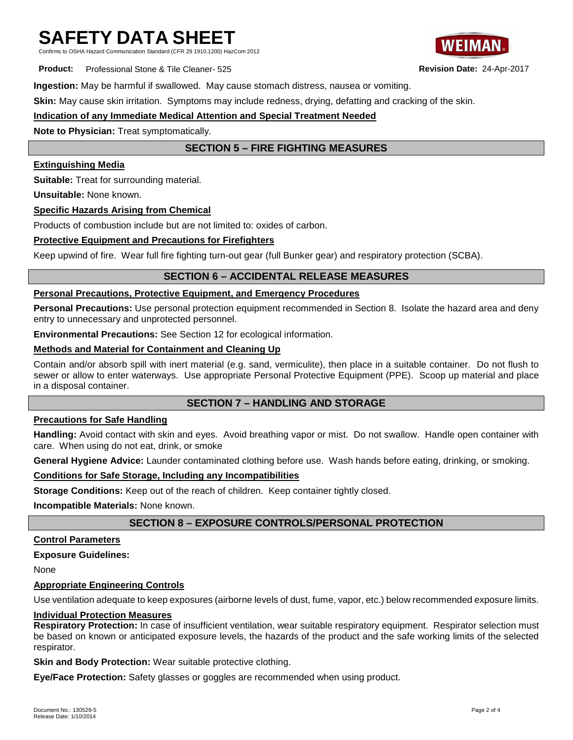Confirms to OSHA Hazard Communication Standard (CFR 29 1910.1200) HazCom 2012

**Product:** Professional Stone & Tile Cleaner- 525 **Revision Date:** 24-Apr-2017

**Ingestion:** May be harmful if swallowed. May cause stomach distress, nausea or vomiting.

**Skin:** May cause skin irritation. Symptoms may include redness, drying, defatting and cracking of the skin.

### **Indication of any Immediate Medical Attention and Special Treatment Needed**

**Note to Physician:** Treat symptomatically.

# **SECTION 5 – FIRE FIGHTING MEASURES**

#### **Extinguishing Media**

**Suitable:** Treat for surrounding material.

**Unsuitable:** None known.

### **Specific Hazards Arising from Chemical**

Products of combustion include but are not limited to: oxides of carbon.

#### **Protective Equipment and Precautions for Firefighters**

Keep upwind of fire. Wear full fire fighting turn-out gear (full Bunker gear) and respiratory protection (SCBA).

# **SECTION 6 – ACCIDENTAL RELEASE MEASURES**

#### **Personal Precautions, Protective Equipment, and Emergency Procedures**

**Personal Precautions:** Use personal protection equipment recommended in Section 8. Isolate the hazard area and deny entry to unnecessary and unprotected personnel.

**Environmental Precautions:** See Section 12 for ecological information.

#### **Methods and Material for Containment and Cleaning Up**

Contain and/or absorb spill with inert material (e.g. sand, vermiculite), then place in a suitable container. Do not flush to sewer or allow to enter waterways. Use appropriate Personal Protective Equipment (PPE). Scoop up material and place in a disposal container.

# **SECTION 7 – HANDLING AND STORAGE**

#### **Precautions for Safe Handling**

**Handling:** Avoid contact with skin and eyes. Avoid breathing vapor or mist. Do not swallow. Handle open container with care. When using do not eat, drink, or smoke

**General Hygiene Advice:** Launder contaminated clothing before use. Wash hands before eating, drinking, or smoking.

#### **Conditions for Safe Storage, Including any Incompatibilities**

**Storage Conditions:** Keep out of the reach of children. Keep container tightly closed.

**Incompatible Materials:** None known.

# **SECTION 8 – EXPOSURE CONTROLS/PERSONAL PROTECTION**

#### **Control Parameters**

**Exposure Guidelines:** 

None

#### **Appropriate Engineering Controls**

Use ventilation adequate to keep exposures (airborne levels of dust, fume, vapor, etc.) below recommended exposure limits.

#### **Individual Protection Measures**

**Respiratory Protection:** In case of insufficient ventilation, wear suitable respiratory equipment. Respirator selection must be based on known or anticipated exposure levels, the hazards of the product and the safe working limits of the selected respirator.

**Skin and Body Protection:** Wear suitable protective clothing.

**Eye/Face Protection:** Safety glasses or goggles are recommended when using product.

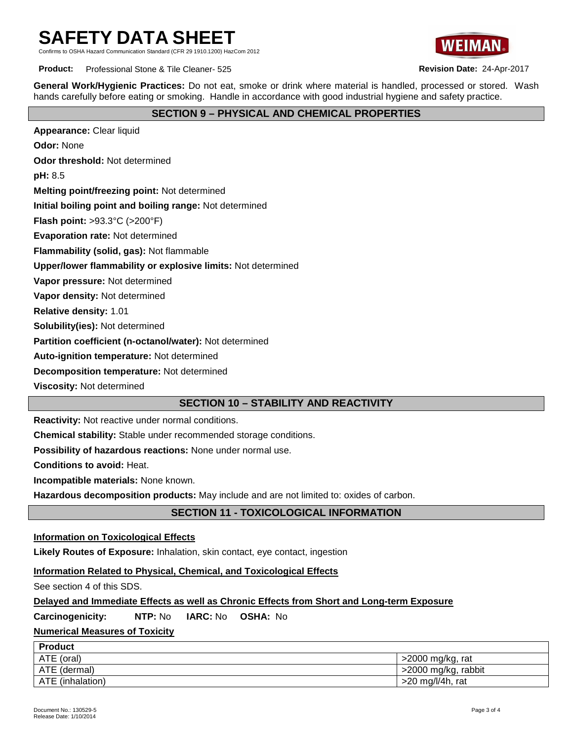Standard (CER 29 1910 1200) HazCom 2012



**Product:** Professional Stone & Tile Cleaner- 525 **Revision Date:** 24-Apr-2017

**General Work/Hygienic Practices:** Do not eat, smoke or drink where material is handled, processed or stored. Wash hands carefully before eating or smoking. Handle in accordance with good industrial hygiene and safety practice.

# **SECTION 9 – PHYSICAL AND CHEMICAL PROPERTIES**

**Appearance:** Clear liquid **Odor:** None **Odor threshold:** Not determined **pH:** 8.5 **Melting point/freezing point:** Not determined **Initial boiling point and boiling range:** Not determined **Flash point:** >93.3°C (>200°F) **Evaporation rate:** Not determined **Flammability (solid, gas):** Not flammable **Upper/lower flammability or explosive limits:** Not determined **Vapor pressure:** Not determined **Vapor density:** Not determined **Relative density:** 1.01 **Solubility(ies):** Not determined **Partition coefficient (n-octanol/water):** Not determined **Auto-ignition temperature:** Not determined **Decomposition temperature:** Not determined

**Viscosity:** Not determined

# **SECTION 10 – STABILITY AND REACTIVITY**

**Reactivity:** Not reactive under normal conditions.

**Chemical stability:** Stable under recommended storage conditions.

**Possibility of hazardous reactions:** None under normal use.

**Conditions to avoid:** Heat.

**Incompatible materials:** None known.

**Hazardous decomposition products:** May include and are not limited to: oxides of carbon.

# **SECTION 11 - TOXICOLOGICAL INFORMATION**

# **Information on Toxicological Effects**

**Likely Routes of Exposure:** Inhalation, skin contact, eye contact, ingestion

#### **Information Related to Physical, Chemical, and Toxicological Effects**

See section 4 of this SDS.

# **Delayed and Immediate Effects as well as Chronic Effects from Short and Long-term Exposure**

**Carcinogenicity: NTP:** No **IARC:** No **OSHA:** No

# **Numerical Measures of Toxicity**

| <b>Product</b>   |                     |
|------------------|---------------------|
| ATE (oral)       | >2000 mg/kg, rat    |
| ATE (dermal)     | >2000 mg/kg, rabbit |
| ATE (inhalation) | $>20$ mg/l/4h, rat  |